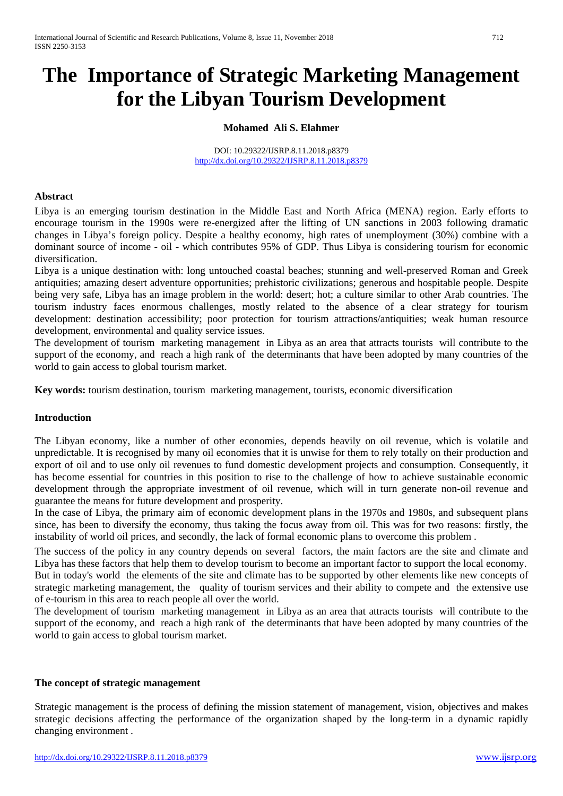# **The Importance of Strategic Marketing Management for the Libyan Tourism Development**

#### **Mohamed Ali S. Elahmer**

DOI: 10.29322/IJSRP.8.11.2018.p8379 <http://dx.doi.org/10.29322/IJSRP.8.11.2018.p8379>

#### **Abstract**

Libya is an emerging tourism destination in the Middle East and North Africa (MENA) region. Early efforts to encourage tourism in the 1990s were re-energized after the lifting of UN sanctions in 2003 following dramatic changes in Libya's foreign policy. Despite a healthy economy, high rates of unemployment (30%) combine with a dominant source of income - oil - which contributes 95% of GDP. Thus Libya is considering tourism for economic diversification.

Libya is a unique destination with: long untouched coastal beaches; stunning and well-preserved Roman and Greek antiquities; amazing desert adventure opportunities; prehistoric civilizations; generous and hospitable people. Despite being very safe, Libya has an image problem in the world: desert; hot; a culture similar to other Arab countries. The tourism industry faces enormous challenges, mostly related to the absence of a clear strategy for tourism development: destination accessibility; poor protection for tourism attractions/antiquities; weak human resource development, environmental and quality service issues.

The development of tourism marketing management in Libya as an area that attracts tourists will contribute to the support of the economy, and reach a high rank of the determinants that have been adopted by many countries of the world to gain access to global tourism market.

**Key words:** tourism destination, tourism marketing management, tourists, economic diversification

#### **Introduction**

The Libyan economy, like a number of other economies, depends heavily on oil revenue, which is volatile and unpredictable. It is recognised by many oil economies that it is unwise for them to rely totally on their production and export of oil and to use only oil revenues to fund domestic development projects and consumption. Consequently, it has become essential for countries in this position to rise to the challenge of how to achieve sustainable economic development through the appropriate investment of oil revenue, which will in turn generate non-oil revenue and guarantee the means for future development and prosperity.

In the case of Libya, the primary aim of economic development plans in the 1970s and 1980s, and subsequent plans since, has been to diversify the economy, thus taking the focus away from oil. This was for two reasons: firstly, the instability of world oil prices, and secondly, the lack of formal economic plans to overcome this problem .

The success of the policy in any country depends on several factors, the main factors are the site and climate and Libya has these factors that help them to develop tourism to become an important factor to support the local economy. But in today's world the elements of the site and climate has to be supported by other elements like new concepts of strategic marketing management, the quality of tourism services and their ability to compete and the extensive use of e-tourism in this area to reach people all over the world.

The development of tourism marketing management in Libya as an area that attracts tourists will contribute to the support of the economy, and reach a high rank of the determinants that have been adopted by many countries of the world to gain access to global tourism market.

#### **The concept of strategic management**

Strategic management is the process of defining the mission statement of management, vision, objectives and makes strategic decisions affecting the performance of the organization shaped by the long-term in a dynamic rapidly changing environment .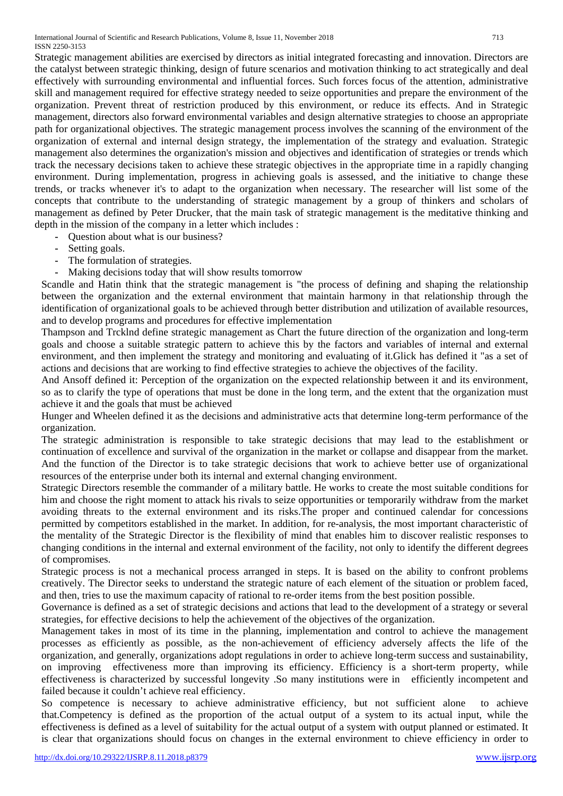Strategic management abilities are exercised by directors as initial integrated forecasting and innovation. Directors are the catalyst between strategic thinking, design of future scenarios and motivation thinking to act strategically and deal effectively with surrounding environmental and influential forces. Such forces focus of the attention, administrative skill and management required for effective strategy needed to seize opportunities and prepare the environment of the organization. Prevent threat of restriction produced by this environment, or reduce its effects. And in Strategic management, directors also forward environmental variables and design alternative strategies to choose an appropriate path for organizational objectives. The strategic management process involves the scanning of the environment of the organization of external and internal design strategy, the implementation of the strategy and evaluation. Strategic management also determines the organization's mission and objectives and identification of strategies or trends which track the necessary decisions taken to achieve these strategic objectives in the appropriate time in a rapidly changing environment. During implementation, progress in achieving goals is assessed, and the initiative to change these trends, or tracks whenever it's to adapt to the organization when necessary. The researcher will list some of the concepts that contribute to the understanding of strategic management by a group of thinkers and scholars of management as defined by Peter Drucker, that the main task of strategic management is the meditative thinking and depth in the mission of the company in a letter which includes :

- **-** Question about what is our business?
- **-** Setting goals.
- **-** The formulation of strategies.
- **-** Making decisions today that will show results tomorrow

Scandle and Hatin think that the strategic management is "the process of defining and shaping the relationship between the organization and the external environment that maintain harmony in that relationship through the identification of organizational goals to be achieved through better distribution and utilization of available resources, and to develop programs and procedures for effective implementation

Thampson and Trcklnd define strategic management as Chart the future direction of the organization and long-term goals and choose a suitable strategic pattern to achieve this by the factors and variables of internal and external environment, and then implement the strategy and monitoring and evaluating of it.Glick has defined it "as a set of actions and decisions that are working to find effective strategies to achieve the objectives of the facility.

And Ansoff defined it: Perception of the organization on the expected relationship between it and its environment, so as to clarify the type of operations that must be done in the long term, and the extent that the organization must achieve it and the goals that must be achieved

Hunger and Wheelen defined it as the decisions and administrative acts that determine long-term performance of the organization.

The strategic administration is responsible to take strategic decisions that may lead to the establishment or continuation of excellence and survival of the organization in the market or collapse and disappear from the market. And the function of the Director is to take strategic decisions that work to achieve better use of organizational resources of the enterprise under both its internal and external changing environment.

Strategic Directors resemble the commander of a military battle. He works to create the most suitable conditions for him and choose the right moment to attack his rivals to seize opportunities or temporarily withdraw from the market avoiding threats to the external environment and its risks.The proper and continued calendar for concessions permitted by competitors established in the market. In addition, for re-analysis, the most important characteristic of the mentality of the Strategic Director is the flexibility of mind that enables him to discover realistic responses to changing conditions in the internal and external environment of the facility, not only to identify the different degrees of compromises.

Strategic process is not a mechanical process arranged in steps. It is based on the ability to confront problems creatively. The Director seeks to understand the strategic nature of each element of the situation or problem faced, and then, tries to use the maximum capacity of rational to re-order items from the best position possible.

Governance is defined as a set of strategic decisions and actions that lead to the development of a strategy or several strategies, for effective decisions to help the achievement of the objectives of the organization.

Management takes in most of its time in the planning, implementation and control to achieve the management processes as efficiently as possible, as the non-achievement of efficiency adversely affects the life of the organization, and generally, organizations adopt regulations in order to achieve long-term success and sustainability, on improving effectiveness more than improving its efficiency. Efficiency is a short-term property, while effectiveness is characterized by successful longevity .So many institutions were in efficiently incompetent and failed because it couldn't achieve real efficiency.

So competence is necessary to achieve administrative efficiency, but not sufficient alone to achieve that.Competency is defined as the proportion of the actual output of a system to its actual input, while the effectiveness is defined as a level of suitability for the actual output of a system with output planned or estimated. It is clear that organizations should focus on changes in the external environment to chieve efficiency in order to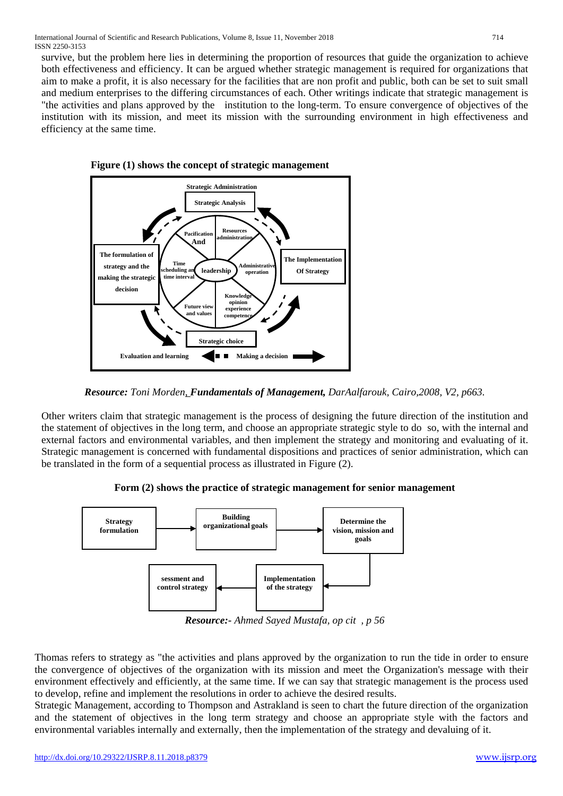survive, but the problem here lies in determining the proportion of resources that guide the organization to achieve both effectiveness and efficiency. It can be argued whether strategic management is required for organizations that aim to make a profit, it is also necessary for the facilities that are non profit and public, both can be set to suit small and medium enterprises to the differing circumstances of each. Other writings indicate that strategic management is "the activities and plans approved by the institution to the long-term. To ensure convergence of objectives of the institution with its mission, and meet its mission with the surrounding environment in high effectiveness and efficiency at the same time.



**Figure (1) shows the concept of strategic management**

*Resource: Toni Morden, Fundamentals of Management, DarAalfarouk, Cairo,2008, V2, p663.*

Other writers claim that strategic management is the process of designing the future direction of the institution and the statement of objectives in the long term, and choose an appropriate strategic style to do so, with the internal and external factors and environmental variables, and then implement the strategy and monitoring and evaluating of it. Strategic management is concerned with fundamental dispositions and practices of senior administration, which can be translated in the form of a sequential process as illustrated in Figure (2).



**Form (2) shows the practice of strategic management for senior management**

*Resource:- Ahmed Sayed Mustafa, op cit , p 56*

Thomas refers to strategy as "the activities and plans approved by the organization to run the tide in order to ensure the convergence of objectives of the organization with its mission and meet the Organization's message with their environment effectively and efficiently, at the same time. If we can say that strategic management is the process used to develop, refine and implement the resolutions in order to achieve the desired results.

Strategic Management, according to Thompson and Astrakland is seen to chart the future direction of the organization and the statement of objectives in the long term strategy and choose an appropriate style with the factors and environmental variables internally and externally, then the implementation of the strategy and devaluing of it.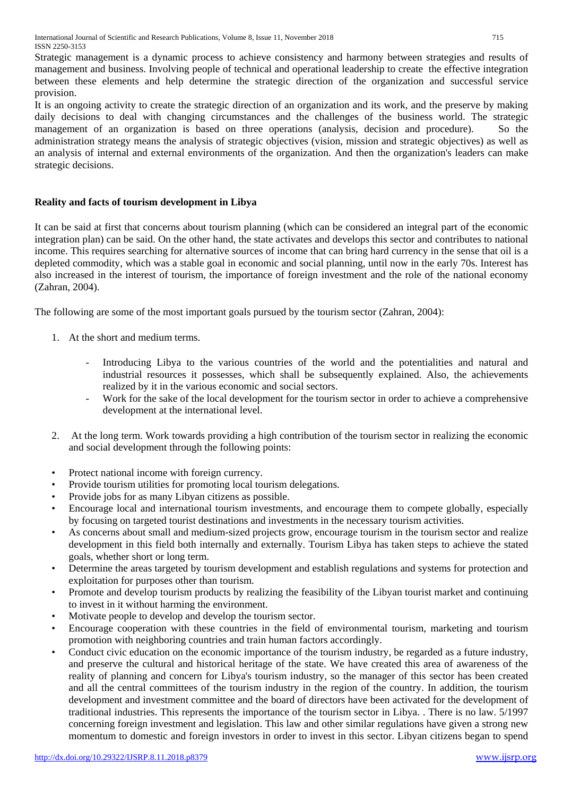Strategic management is a dynamic process to achieve consistency and harmony between strategies and results of management and business. Involving people of technical and operational leadership to create the effective integration between these elements and help determine the strategic direction of the organization and successful service provision.

It is an ongoing activity to create the strategic direction of an organization and its work, and the preserve by making daily decisions to deal with changing circumstances and the challenges of the business world. The strategic management of an organization is based on three operations (analysis, decision and procedure). So the administration strategy means the analysis of strategic objectives (vision, mission and strategic objectives) as well as an analysis of internal and external environments of the organization. And then the organization's leaders can make strategic decisions.

# **Reality and facts of tourism development in Libya**

It can be said at first that concerns about tourism planning (which can be considered an integral part of the economic integration plan) can be said. On the other hand, the state activates and develops this sector and contributes to national income. This requires searching for alternative sources of income that can bring hard currency in the sense that oil is a depleted commodity, which was a stable goal in economic and social planning, until now in the early 70s. Interest has also increased in the interest of tourism, the importance of foreign investment and the role of the national economy (Zahran, 2004).

The following are some of the most important goals pursued by the tourism sector (Zahran, 2004):

- 1. At the short and medium terms.
	- Introducing Libya to the various countries of the world and the potentialities and natural and industrial resources it possesses, which shall be subsequently explained. Also, the achievements realized by it in the various economic and social sectors.
	- Work for the sake of the local development for the tourism sector in order to achieve a comprehensive development at the international level.
- 2. At the long term. Work towards providing a high contribution of the tourism sector in realizing the economic and social development through the following points:
- Protect national income with foreign currency.
- Provide tourism utilities for promoting local tourism delegations.
- Provide jobs for as many Libyan citizens as possible.
- Encourage local and international tourism investments, and encourage them to compete globally, especially by focusing on targeted tourist destinations and investments in the necessary tourism activities.
- As concerns about small and medium-sized projects grow, encourage tourism in the tourism sector and realize development in this field both internally and externally. Tourism Libya has taken steps to achieve the stated goals, whether short or long term.
- Determine the areas targeted by tourism development and establish regulations and systems for protection and exploitation for purposes other than tourism.
- Promote and develop tourism products by realizing the feasibility of the Libyan tourist market and continuing to invest in it without harming the environment.
- Motivate people to develop and develop the tourism sector.
- Encourage cooperation with these countries in the field of environmental tourism, marketing and tourism promotion with neighboring countries and train human factors accordingly.
- Conduct civic education on the economic importance of the tourism industry, be regarded as a future industry, and preserve the cultural and historical heritage of the state. We have created this area of awareness of the reality of planning and concern for Libya's tourism industry, so the manager of this sector has been created and all the central committees of the tourism industry in the region of the country. In addition, the tourism development and investment committee and the board of directors have been activated for the development of traditional industries. This represents the importance of the tourism sector in Libya. . There is no law. 5/1997 concerning foreign investment and legislation. This law and other similar regulations have given a strong new momentum to domestic and foreign investors in order to invest in this sector. Libyan citizens began to spend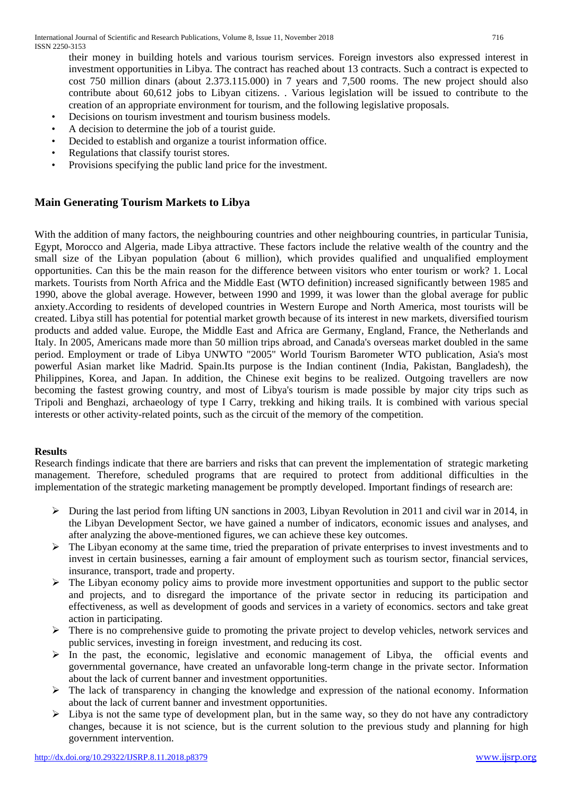their money in building hotels and various tourism services. Foreign investors also expressed interest in investment opportunities in Libya. The contract has reached about 13 contracts. Such a contract is expected to cost 750 million dinars (about 2.373.115.000) in 7 years and 7,500 rooms. The new project should also contribute about 60,612 jobs to Libyan citizens. . Various legislation will be issued to contribute to the creation of an appropriate environment for tourism, and the following legislative proposals.

- Decisions on tourism investment and tourism business models.
- A decision to determine the job of a tourist guide.
- Decided to establish and organize a tourist information office.
- Regulations that classify tourist stores.
- Provisions specifying the public land price for the investment.

# **Main Generating Tourism Markets to Libya**

With the addition of many factors, the neighbouring countries and other neighbouring countries, in particular Tunisia, Egypt, Morocco and Algeria, made Libya attractive. These factors include the relative wealth of the country and the small size of the Libyan population (about 6 million), which provides qualified and unqualified employment opportunities. Can this be the main reason for the difference between visitors who enter tourism or work? 1. Local markets. Tourists from North Africa and the Middle East (WTO definition) increased significantly between 1985 and 1990, above the global average. However, between 1990 and 1999, it was lower than the global average for public anxiety.According to residents of developed countries in Western Europe and North America, most tourists will be created. Libya still has potential for potential market growth because of its interest in new markets, diversified tourism products and added value. Europe, the Middle East and Africa are Germany, England, France, the Netherlands and Italy. In 2005, Americans made more than 50 million trips abroad, and Canada's overseas market doubled in the same period. Employment or trade of Libya UNWTO "2005" World Tourism Barometer WTO publication, Asia's most powerful Asian market like Madrid. Spain.Its purpose is the Indian continent (India, Pakistan, Bangladesh), the Philippines, Korea, and Japan. In addition, the Chinese exit begins to be realized. Outgoing travellers are now becoming the fastest growing country, and most of Libya's tourism is made possible by major city trips such as Tripoli and Benghazi, archaeology of type I Carry, trekking and hiking trails. It is combined with various special interests or other activity-related points, such as the circuit of the memory of the competition.

# **Results**

Research findings indicate that there are barriers and risks that can prevent the implementation of strategic marketing management. Therefore, scheduled programs that are required to protect from additional difficulties in the implementation of the strategic marketing management be promptly developed. Important findings of research are:

- During the last period from lifting UN sanctions in 2003, Libyan Revolution in 2011 and civil war in 2014, in the Libyan Development Sector, we have gained a number of indicators, economic issues and analyses, and after analyzing the above-mentioned figures, we can achieve these key outcomes.
- $\triangleright$  The Libyan economy at the same time, tried the preparation of private enterprises to invest investments and to invest in certain businesses, earning a fair amount of employment such as tourism sector, financial services, insurance, transport, trade and property.
- $\triangleright$  The Libyan economy policy aims to provide more investment opportunities and support to the public sector and projects, and to disregard the importance of the private sector in reducing its participation and effectiveness, as well as development of goods and services in a variety of economics. sectors and take great action in participating.
- $\triangleright$  There is no comprehensive guide to promoting the private project to develop vehicles, network services and public services, investing in foreign investment, and reducing its cost.
- $\triangleright$  In the past, the economic, legislative and economic management of Libya, the official events and governmental governance, have created an unfavorable long-term change in the private sector. Information about the lack of current banner and investment opportunities.
- $\triangleright$  The lack of transparency in changing the knowledge and expression of the national economy. Information about the lack of current banner and investment opportunities.
- $\triangleright$  Libya is not the same type of development plan, but in the same way, so they do not have any contradictory changes, because it is not science, but is the current solution to the previous study and planning for high government intervention.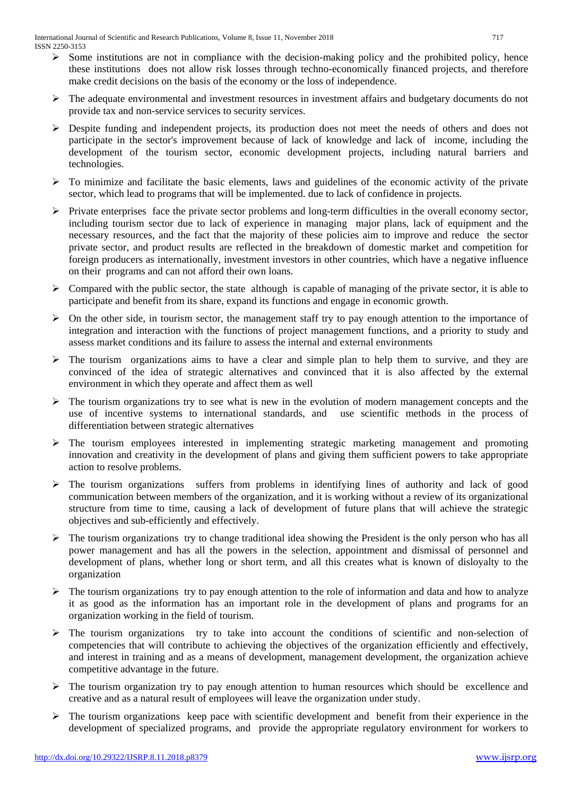- $\triangleright$  Some institutions are not in compliance with the decision-making policy and the prohibited policy, hence these institutions does not allow risk losses through techno-economically financed projects, and therefore make credit decisions on the basis of the economy or the loss of independence.
- $\triangleright$  The adequate environmental and investment resources in investment affairs and budgetary documents do not provide tax and non-service services to security services.
- Despite funding and independent projects, its production does not meet the needs of others and does not participate in the sector's improvement because of lack of knowledge and lack of income, including the development of the tourism sector, economic development projects, including natural barriers and technologies.
- $\triangleright$  To minimize and facilitate the basic elements, laws and guidelines of the economic activity of the private sector, which lead to programs that will be implemented. due to lack of confidence in projects.
- $\triangleright$  Private enterprises face the private sector problems and long-term difficulties in the overall economy sector, including tourism sector due to lack of experience in managing major plans, lack of equipment and the necessary resources, and the fact that the majority of these policies aim to improve and reduce the sector private sector, and product results are reflected in the breakdown of domestic market and competition for foreign producers as internationally, investment investors in other countries, which have a negative influence on their programs and can not afford their own loans.
- $\triangleright$  Compared with the public sector, the state although is capable of managing of the private sector, it is able to participate and benefit from its share, expand its functions and engage in economic growth.
- $\triangleright$  On the other side, in tourism sector, the management staff try to pay enough attention to the importance of integration and interaction with the functions of project management functions, and a priority to study and assess market conditions and its failure to assess the internal and external environments
- $\triangleright$  The tourism organizations aims to have a clear and simple plan to help them to survive, and they are convinced of the idea of strategic alternatives and convinced that it is also affected by the external environment in which they operate and affect them as well
- $\triangleright$  The tourism organizations try to see what is new in the evolution of modern management concepts and the use of incentive systems to international standards, and use scientific methods in the process of differentiation between strategic alternatives
- $\triangleright$  The tourism employees interested in implementing strategic marketing management and promoting innovation and creativity in the development of plans and giving them sufficient powers to take appropriate action to resolve problems.
- $\triangleright$  The tourism organizations suffers from problems in identifying lines of authority and lack of good communication between members of the organization, and it is working without a review of its organizational structure from time to time, causing a lack of development of future plans that will achieve the strategic objectives and sub-efficiently and effectively.
- $\triangleright$  The tourism organizations try to change traditional idea showing the President is the only person who has all power management and has all the powers in the selection, appointment and dismissal of personnel and development of plans, whether long or short term, and all this creates what is known of disloyalty to the organization
- $\triangleright$  The tourism organizations try to pay enough attention to the role of information and data and how to analyze it as good as the information has an important role in the development of plans and programs for an organization working in the field of tourism.
- $\triangleright$  The tourism organizations try to take into account the conditions of scientific and non-selection of competencies that will contribute to achieving the objectives of the organization efficiently and effectively, and interest in training and as a means of development, management development, the organization achieve competitive advantage in the future.
- $\triangleright$  The tourism organization try to pay enough attention to human resources which should be excellence and creative and as a natural result of employees will leave the organization under study.
- $\triangleright$  The tourism organizations keep pace with scientific development and benefit from their experience in the development of specialized programs, and provide the appropriate regulatory environment for workers to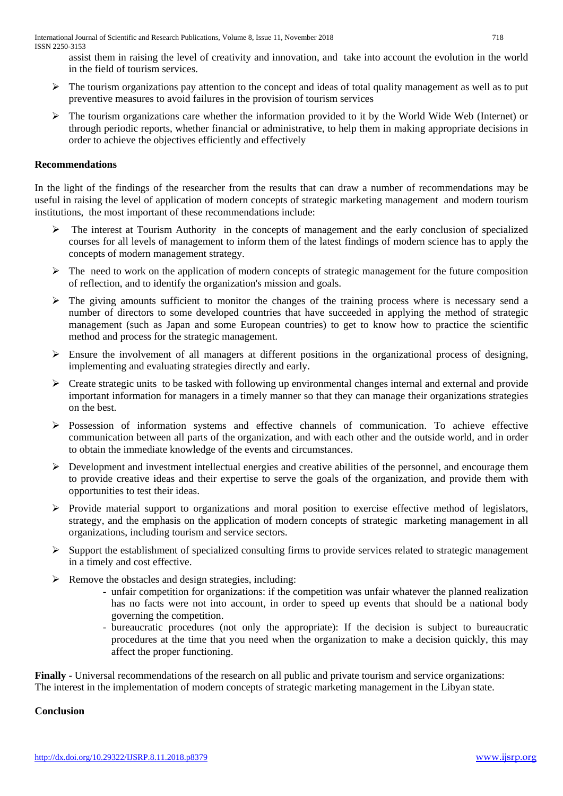assist them in raising the level of creativity and innovation, and take into account the evolution in the world in the field of tourism services.

- $\triangleright$  The tourism organizations pay attention to the concept and ideas of total quality management as well as to put preventive measures to avoid failures in the provision of tourism services
- $\triangleright$  The tourism organizations care whether the information provided to it by the World Wide Web (Internet) or through periodic reports, whether financial or administrative, to help them in making appropriate decisions in order to achieve the objectives efficiently and effectively

### **Recommendations**

In the light of the findings of the researcher from the results that can draw a number of recommendations may be useful in raising the level of application of modern concepts of strategic marketing management and modern tourism institutions, the most important of these recommendations include:

- The interest at Tourism Authority in the concepts of management and the early conclusion of specialized courses for all levels of management to inform them of the latest findings of modern science has to apply the concepts of modern management strategy.
- $\triangleright$  The need to work on the application of modern concepts of strategic management for the future composition of reflection, and to identify the organization's mission and goals.
- $\triangleright$  The giving amounts sufficient to monitor the changes of the training process where is necessary send a number of directors to some developed countries that have succeeded in applying the method of strategic management (such as Japan and some European countries) to get to know how to practice the scientific method and process for the strategic management.
- $\triangleright$  Ensure the involvement of all managers at different positions in the organizational process of designing, implementing and evaluating strategies directly and early.
- $\triangleright$  Create strategic units to be tasked with following up environmental changes internal and external and provide important information for managers in a timely manner so that they can manage their organizations strategies on the best.
- $\triangleright$  Possession of information systems and effective channels of communication. To achieve effective communication between all parts of the organization, and with each other and the outside world, and in order to obtain the immediate knowledge of the events and circumstances.
- $\triangleright$  Development and investment intellectual energies and creative abilities of the personnel, and encourage them to provide creative ideas and their expertise to serve the goals of the organization, and provide them with opportunities to test their ideas.
- $\triangleright$  Provide material support to organizations and moral position to exercise effective method of legislators, strategy, and the emphasis on the application of modern concepts of strategic marketing management in all organizations, including tourism and service sectors.
- $\triangleright$  Support the establishment of specialized consulting firms to provide services related to strategic management in a timely and cost effective.
- $\triangleright$  Remove the obstacles and design strategies, including:
	- unfair competition for organizations: if the competition was unfair whatever the planned realization has no facts were not into account, in order to speed up events that should be a national body governing the competition.
	- bureaucratic procedures (not only the appropriate): If the decision is subject to bureaucratic procedures at the time that you need when the organization to make a decision quickly, this may affect the proper functioning.

**Finally** - Universal recommendations of the research on all public and private tourism and service organizations: The interest in the implementation of modern concepts of strategic marketing management in the Libyan state.

#### **Conclusion**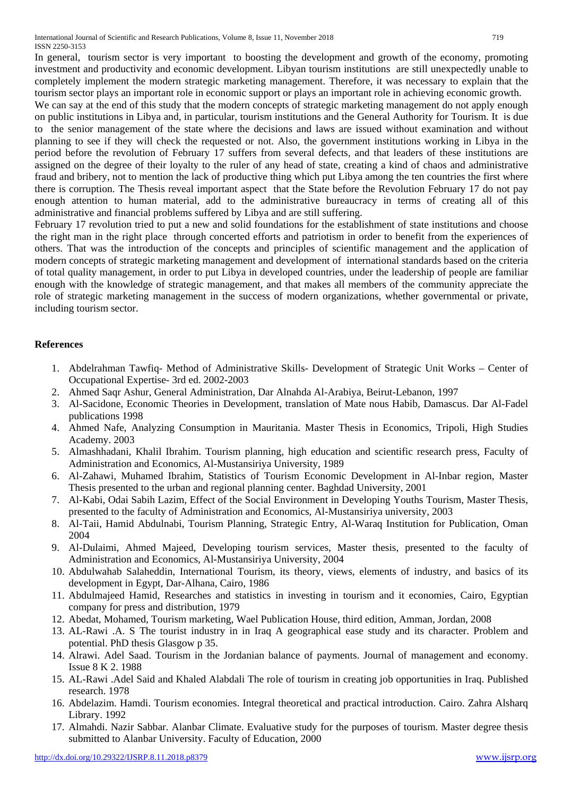In general, tourism sector is very important to boosting the development and growth of the economy, promoting investment and productivity and economic development. Libyan tourism institutions are still unexpectedly unable to completely implement the modern strategic marketing management. Therefore, it was necessary to explain that the tourism sector plays an important role in economic support or plays an important role in achieving economic growth.

We can say at the end of this study that the modern concepts of strategic marketing management do not apply enough on public institutions in Libya and, in particular, tourism institutions and the General Authority for Tourism. It is due to the senior management of the state where the decisions and laws are issued without examination and without planning to see if they will check the requested or not. Also, the government institutions working in Libya in the period before the revolution of February 17 suffers from several defects, and that leaders of these institutions are assigned on the degree of their loyalty to the ruler of any head of state, creating a kind of chaos and administrative fraud and bribery, not to mention the lack of productive thing which put Libya among the ten countries the first where there is corruption. The Thesis reveal important aspect that the State before the Revolution February 17 do not pay enough attention to human material, add to the administrative bureaucracy in terms of creating all of this administrative and financial problems suffered by Libya and are still suffering.

February 17 revolution tried to put a new and solid foundations for the establishment of state institutions and choose the right man in the right place through concerted efforts and patriotism in order to benefit from the experiences of others. That was the introduction of the concepts and principles of scientific management and the application of modern concepts of strategic marketing management and development of international standards based on the criteria of total quality management, in order to put Libya in developed countries, under the leadership of people are familiar enough with the knowledge of strategic management, and that makes all members of the community appreciate the role of strategic marketing management in the success of modern organizations, whether governmental or private, including tourism sector.

# **References**

- 1. Abdelrahman Tawfiq- Method of Administrative Skills- Development of Strategic Unit Works Center of Occupational Expertise- 3rd ed. 2002-2003
- 2. Ahmed Saqr Ashur, General Administration, Dar Alnahda Al-Arabiya, Beirut-Lebanon, 1997
- 3. Al-Sacidone, Economic Theories in Development, translation of Mate nous Habib, Damascus. Dar Al-Fadel publications 1998
- 4. Ahmed Nafe, Analyzing Consumption in Mauritania. Master Thesis in Economics, Tripoli, High Studies Academy. 2003
- 5. Almashhadani, Khalil Ibrahim. Tourism planning, high education and scientific research press, Faculty of Administration and Economics, Al-Mustansiriya University, 1989
- 6. Al-Zahawi, Muhamed Ibrahim, Statistics of Tourism Economic Development in Al-Inbar region, Master Thesis presented to the urban and regional planning center. Baghdad University, 2001
- 7. Al-Kabi, Odai Sabih Lazim, Effect of the Social Environment in Developing Youths Tourism, Master Thesis, presented to the faculty of Administration and Economics, Al-Mustansiriya university, 2003
- 8. Al-Taii, Hamid Abdulnabi, Tourism Planning, Strategic Entry, Al-Waraq Institution for Publication, Oman 2004
- 9. Al-Dulaimi, Ahmed Majeed, Developing tourism services, Master thesis, presented to the faculty of Administration and Economics, Al-Mustansiriya University, 2004
- 10. Abdulwahab Salaheddin, International Tourism, its theory, views, elements of industry, and basics of its development in Egypt, Dar-Alhana, Cairo, 1986
- 11. Abdulmajeed Hamid, Researches and statistics in investing in tourism and it economies, Cairo, Egyptian company for press and distribution, 1979
- 12. Abedat, Mohamed, Tourism marketing, Wael Publication House, third edition, Amman, Jordan, 2008
- 13. AL-Rawi .A. S The tourist industry in in Iraq A geographical ease study and its character. Problem and potential. PhD thesis Glasgow p 35.
- 14. Alrawi. Adel Saad. Tourism in the Jordanian balance of payments. Journal of management and economy. Issue 8 K 2. 1988
- 15. AL-Rawi .Adel Said and Khaled Alabdali The role of tourism in creating job opportunities in Iraq. Published research. 1978
- 16. Abdelazim. Hamdi. Tourism economies. Integral theoretical and practical introduction. Cairo. Zahra Alsharq Library. 1992
- 17. Almahdi. Nazir Sabbar. Alanbar Climate. Evaluative study for the purposes of tourism. Master degree thesis submitted to Alanbar University. Faculty of Education, 2000